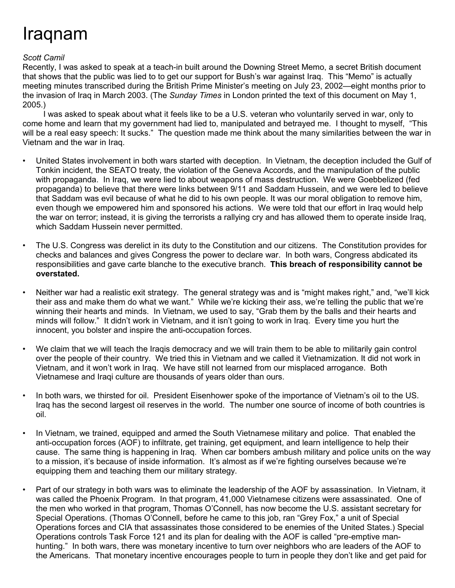## Iraqnam

## *Scott Camil*

Recently, I was asked to speak at a teach-in built around the Downing Street Memo, a secret British document that shows that the public was lied to to get our support for Bush's war against Iraq. This "Memo" is actually meeting minutes transcribed during the British Prime Minister's meeting on July 23, 2002—eight months prior to the invasion of Iraq in March 2003. (The *Sunday Times* in London printed the text of this document on May 1, 2005.)

I was asked to speak about what it feels like to be a U.S. veteran who voluntarily served in war, only to come home and learn that my government had lied to, manipulated and betrayed me. I thought to myself, "This will be a real easy speech: It sucks." The question made me think about the many similarities between the war in Vietnam and the war in Iraq.

- United States involvement in both wars started with deception. In Vietnam, the deception included the Gulf of Tonkin incident, the SEATO treaty, the violation of the Geneva Accords, and the manipulation of the public with propaganda. In Iraq, we were lied to about weapons of mass destruction. We were Goebbelized (fed propaganda) to believe that there were links between 9/11 and Saddam Hussein, and we were led to believe that Saddam was evil because of what he did to his own people. It was our moral obligation to remove him, even though we empowered him and sponsored his actions. We were told that our effort in Iraq would help the war on terror; instead, it is giving the terrorists a rallying cry and has allowed them to operate inside Iraq, which Saddam Hussein never permitted.
- The U.S. Congress was derelict in its duty to the Constitution and our citizens. The Constitution provides for checks and balances and gives Congress the power to declare war. In both wars, Congress abdicated its responsibilities and gave carte blanche to the executive branch. **This breach of responsibility cannot be overstated.**
- Neither war had a realistic exit strategy. The general strategy was and is "might makes right," and, "we'll kick their ass and make them do what we want." While we're kicking their ass, we're telling the public that we're winning their hearts and minds. In Vietnam, we used to say, "Grab them by the balls and their hearts and minds will follow." It didn't work in Vietnam, and it isn't going to work in Iraq. Every time you hurt the innocent, you bolster and inspire the anti-occupation forces.
- We claim that we will teach the Iraqis democracy and we will train them to be able to militarily gain control over the people of their country. We tried this in Vietnam and we called it Vietnamization. It did not work in Vietnam, and it won't work in Iraq. We have still not learned from our misplaced arrogance. Both Vietnamese and Iraqi culture are thousands of years older than ours.
- In both wars, we thirsted for oil. President Eisenhower spoke of the importance of Vietnam's oil to the US. Iraq has the second largest oil reserves in the world. The number one source of income of both countries is oil.
- In Vietnam, we trained, equipped and armed the South Vietnamese military and police. That enabled the anti-occupation forces (AOF) to infiltrate, get training, get equipment, and learn intelligence to help their cause. The same thing is happening in Iraq. When car bombers ambush military and police units on the way to a mission, it's because of inside information. It's almost as if we're fighting ourselves because we're equipping them and teaching them our military strategy.
- Part of our strategy in both wars was to eliminate the leadership of the AOF by assassination. In Vietnam, it was called the Phoenix Program. In that program, 41,000 Vietnamese citizens were assassinated. One of the men who worked in that program, Thomas O'Connell, has now become the U.S. assistant secretary for Special Operations. (Thomas O'Connell, before he came to this job, ran "Grey Fox," a unit of Special Operations forces and CIA that assassinates those considered to be enemies of the United States.) Special Operations controls Task Force 121 and its plan for dealing with the AOF is called "pre-emptive manhunting." In both wars, there was monetary incentive to turn over neighbors who are leaders of the AOF to the Americans. That monetary incentive encourages people to turn in people they don't like and get paid for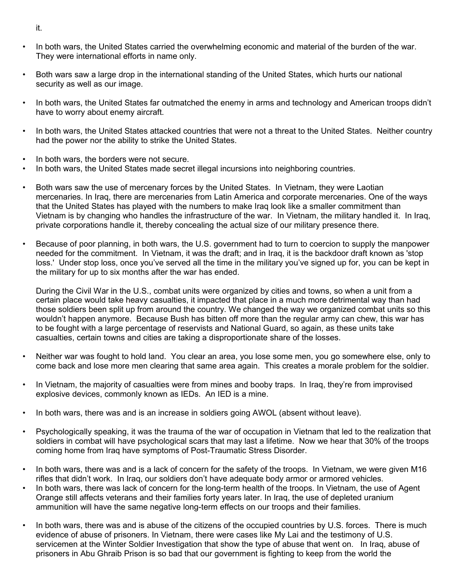- In both wars, the United States carried the overwhelming economic and material of the burden of the war. They were international efforts in name only.
- Both wars saw a large drop in the international standing of the United States, which hurts our national security as well as our image.
- In both wars, the United States far outmatched the enemy in arms and technology and American troops didn't have to worry about enemy aircraft.
- In both wars, the United States attacked countries that were not a threat to the United States. Neither country had the power nor the ability to strike the United States.
- In both wars, the borders were not secure.
- In both wars, the United States made secret illegal incursions into neighboring countries.
- Both wars saw the use of mercenary forces by the United States. In Vietnam, they were Laotian mercenaries. In Iraq, there are mercenaries from Latin America and corporate mercenaries. One of the ways that the United States has played with the numbers to make Iraq look like a smaller commitment than Vietnam is by changing who handles the infrastructure of the war. In Vietnam, the military handled it. In Iraq, private corporations handle it, thereby concealing the actual size of our military presence there.
- Because of poor planning, in both wars, the U.S. government had to turn to coercion to supply the manpower needed for the commitment. In Vietnam, it was the draft; and in Iraq, it is the backdoor draft known as 'stop loss.' Under stop loss, once you've served all the time in the military you've signed up for, you can be kept in the military for up to six months after the war has ended.

During the Civil War in the U.S., combat units were organized by cities and towns, so when a unit from a certain place would take heavy casualties, it impacted that place in a much more detrimental way than had those soldiers been split up from around the country. We changed the way we organized combat units so this wouldn't happen anymore. Because Bush has bitten off more than the regular army can chew, this war has to be fought with a large percentage of reservists and National Guard, so again, as these units take casualties, certain towns and cities are taking a disproportionate share of the losses.

- Neither war was fought to hold land. You clear an area, you lose some men, you go somewhere else, only to come back and lose more men clearing that same area again. This creates a morale problem for the soldier.
- In Vietnam, the majority of casualties were from mines and booby traps. In Iraq, they're from improvised explosive devices, commonly known as IEDs. An IED is a mine.
- In both wars, there was and is an increase in soldiers going AWOL (absent without leave).
- Psychologically speaking, it was the trauma of the war of occupation in Vietnam that led to the realization that soldiers in combat will have psychological scars that may last a lifetime. Now we hear that 30% of the troops coming home from Iraq have symptoms of Post-Traumatic Stress Disorder.
- In both wars, there was and is a lack of concern for the safety of the troops. In Vietnam, we were given M16 rifles that didn't work. In Iraq, our soldiers don't have adequate body armor or armored vehicles.
- In both wars, there was lack of concern for the long-term health of the troops. In Vietnam, the use of Agent Orange still affects veterans and their families forty years later. In Iraq, the use of depleted uranium ammunition will have the same negative long-term effects on our troops and their families.
- In both wars, there was and is abuse of the citizens of the occupied countries by U.S. forces. There is much evidence of abuse of prisoners. In Vietnam, there were cases like My Lai and the testimony of U.S. servicemen at the Winter Soldier Investigation that show the type of abuse that went on. In Iraq, abuse of prisoners in Abu Ghraib Prison is so bad that our government is fighting to keep from the world the

it.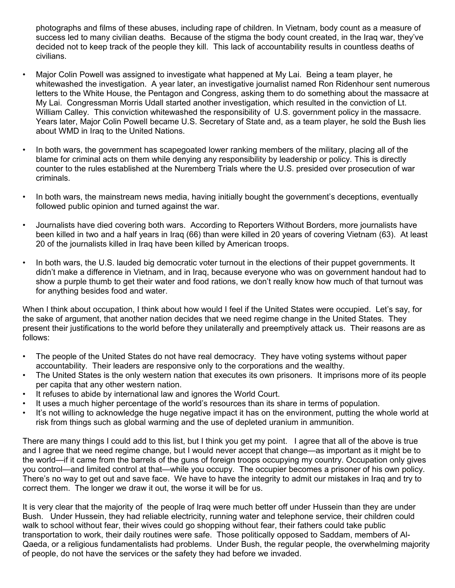photographs and films of these abuses, including rape of children. In Vietnam, body count as a measure of success led to many civilian deaths. Because of the stigma the body count created, in the Iraq war, they've decided not to keep track of the people they kill. This lack of accountability results in countless deaths of civilians.

- Major Colin Powell was assigned to investigate what happened at My Lai. Being a team player, he whitewashed the investigation. A year later, an investigative journalist named Ron Ridenhour sent numerous letters to the White House, the Pentagon and Congress, asking them to do something about the massacre at My Lai. Congressman Morris Udall started another investigation, which resulted in the conviction of Lt. William Calley. This conviction whitewashed the responsibility of U.S. government policy in the massacre. Years later, Major Colin Powell became U.S. Secretary of State and, as a team player, he sold the Bush lies about WMD in Iraq to the United Nations.
- In both wars, the government has scapegoated lower ranking members of the military, placing all of the blame for criminal acts on them while denying any responsibility by leadership or policy. This is directly counter to the rules established at the Nuremberg Trials where the U.S. presided over prosecution of war criminals.
- In both wars, the mainstream news media, having initially bought the government's deceptions, eventually followed public opinion and turned against the war.
- Journalists have died covering both wars. According to Reporters Without Borders, more journalists have been killed in two and a half years in Iraq (66) than were killed in 20 years of covering Vietnam (63). At least 20 of the journalists killed in Iraq have been killed by American troops.
- In both wars, the U.S. lauded big democratic voter turnout in the elections of their puppet governments. It didn't make a difference in Vietnam, and in Iraq, because everyone who was on government handout had to show a purple thumb to get their water and food rations, we don't really know how much of that turnout was for anything besides food and water.

When I think about occupation, I think about how would I feel if the United States were occupied. Let's say, for the sake of argument, that another nation decides that we need regime change in the United States. They present their justifications to the world before they unilaterally and preemptively attack us. Their reasons are as follows:

- The people of the United States do not have real democracy. They have voting systems without paper accountability. Their leaders are responsive only to the corporations and the wealthy.
- The United States is the only western nation that executes its own prisoners. It imprisons more of its people per capita that any other western nation.
- It refuses to abide by international law and ignores the World Court.
- It uses a much higher percentage of the world's resources than its share in terms of population.
- It's not willing to acknowledge the huge negative impact it has on the environment, putting the whole world at risk from things such as global warming and the use of depleted uranium in ammunition.

There are many things I could add to this list, but I think you get my point. I agree that all of the above is true and I agree that we need regime change, but I would never accept that change—as important as it might be to the world—if it came from the barrels of the guns of foreign troops occupying my country. Occupation only gives you control—and limited control at that—while you occupy. The occupier becomes a prisoner of his own policy. There's no way to get out and save face. We have to have the integrity to admit our mistakes in Iraq and try to correct them. The longer we draw it out, the worse it will be for us.

It is very clear that the majority of the people of Iraq were much better off under Hussein than they are under Bush. Under Hussein, they had reliable electricity, running water and telephone service, their children could walk to school without fear, their wives could go shopping without fear, their fathers could take public transportation to work, their daily routines were safe. Those politically opposed to Saddam, members of Al-Qaeda, or a religious fundamentalists had problems. Under Bush, the regular people, the overwhelming majority of people, do not have the services or the safety they had before we invaded.